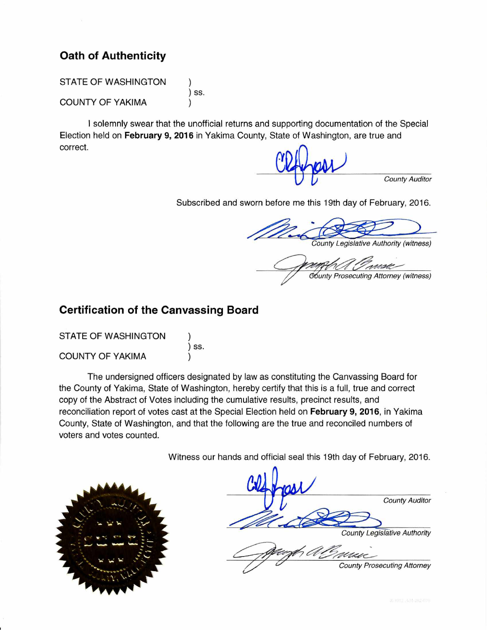## **Oath of Authenticity**

**STATE OF WASHINGTON** 

**COUNTY OF YAKIMA** 

) ss.

I solemnly swear that the unofficial returns and supporting documentation of the Special Election held on February 9, 2016 in Yakima County, State of Washington, are true and correct.

**County Auditor** 

Subscribed and sworn before me this 19th day of February, 2016.

County Legislative Authority (witness)

**Gounty Prosecuting Attorney (witness)** 

## **Certification of the Canvassing Board**

**STATE OF WASHINGTON** ) ss. **COUNTY OF YAKIMA** 

The undersigned officers designated by law as constituting the Canvassing Board for the County of Yakima, State of Washington, hereby certify that this is a full, true and correct copy of the Abstract of Votes including the cumulative results, precinct results, and reconciliation report of votes cast at the Special Election held on February 9, 2016, in Yakima County, State of Washington, and that the following are the true and reconciled numbers of voters and votes counted.

Witness our hands and official seal this 19th day of February, 2016.



**County Auditor County Legislative Authority County Prosecuting Attorney**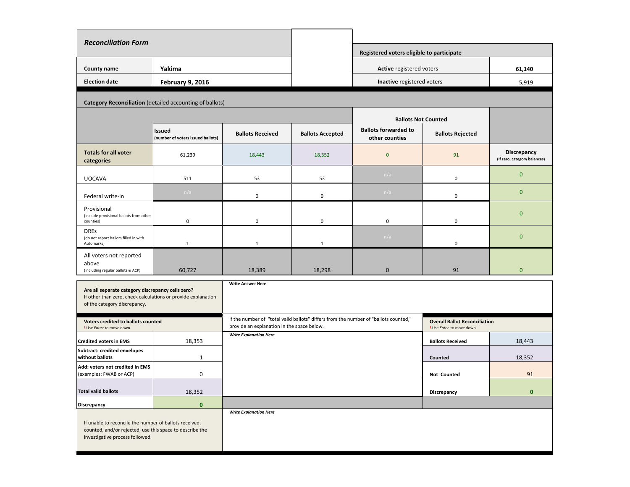| <b>Reconciliation Form</b>                                                                                                                            |                                                          |                                                                                                                                    |                         |                                                                             |                                                                  |                                             |
|-------------------------------------------------------------------------------------------------------------------------------------------------------|----------------------------------------------------------|------------------------------------------------------------------------------------------------------------------------------------|-------------------------|-----------------------------------------------------------------------------|------------------------------------------------------------------|---------------------------------------------|
|                                                                                                                                                       |                                                          |                                                                                                                                    |                         | Registered voters eligible to participate                                   |                                                                  |                                             |
| County name                                                                                                                                           | Yakima                                                   |                                                                                                                                    |                         | Active registered voters                                                    |                                                                  | 61,140                                      |
| <b>Election date</b>                                                                                                                                  | February 9, 2016                                         |                                                                                                                                    |                         | <b>Inactive</b> registered voters                                           |                                                                  | 5,919                                       |
|                                                                                                                                                       | Category Reconciliation (detailed accounting of ballots) |                                                                                                                                    |                         |                                                                             |                                                                  |                                             |
|                                                                                                                                                       |                                                          |                                                                                                                                    |                         |                                                                             |                                                                  |                                             |
|                                                                                                                                                       | <b>Issued</b><br>(number of voters issued ballots)       | <b>Ballots Received</b>                                                                                                            | <b>Ballots Accepted</b> | <b>Ballots Not Counted</b><br><b>Ballots forwarded to</b><br>other counties | <b>Ballots Rejected</b>                                          |                                             |
| <b>Totals for all voter</b><br>categories                                                                                                             | 61,239                                                   | 18,443                                                                                                                             | 18,352                  | $\mathbf{0}$                                                                | 91                                                               | Discrepancy<br>(If zero, category balances) |
| <b>UOCAVA</b>                                                                                                                                         | 511                                                      | 53                                                                                                                                 | 53                      | n/a                                                                         | 0                                                                | $\mathbf{0}$                                |
| Federal write-in                                                                                                                                      | n/a                                                      | $\pmb{0}$                                                                                                                          | 0                       | n/a                                                                         | $\pmb{0}$                                                        | $\mathbf{0}$                                |
| Provisional<br>(include provisional ballots from other<br>counties)                                                                                   | 0                                                        | $\pmb{0}$                                                                                                                          | 0                       | $\pmb{0}$                                                                   | $\pmb{0}$                                                        | $\mathbf{0}$                                |
| <b>DREs</b><br>(do not report ballots filled in with<br>Automarks)                                                                                    | $\mathbf{1}$                                             | $\mathbf{1}$                                                                                                                       | $\mathbf{1}$            | n/a                                                                         | 0                                                                | $\mathbf{0}$                                |
| All voters not reported<br>above<br>(including regular ballots & ACP)                                                                                 | 60,727                                                   | 18,389                                                                                                                             | 18,298                  | $\mathbf 0$                                                                 | 91                                                               | $\mathbf{0}$                                |
| Are all separate category discrepancy cells zero?<br>If other than zero, check calculations or provide explanation<br>of the category discrepancy.    |                                                          | <b>Write Answer Here</b>                                                                                                           |                         |                                                                             |                                                                  |                                             |
| Voters credited to ballots counted<br>! Use Enter to move down                                                                                        |                                                          | If the number of "total valid ballots" differs from the number of "ballots counted,"<br>provide an explanation in the space below. |                         |                                                                             | <b>Overall Ballot Reconciliation</b><br>! Use Enter to move down |                                             |
| <b>Credited voters in EMS</b>                                                                                                                         | 18,353                                                   | <b>Write Explanation Here</b>                                                                                                      |                         |                                                                             | <b>Ballots Received</b>                                          | 18,443                                      |
| Subtract: credited envelopes<br>without ballots                                                                                                       | 1                                                        |                                                                                                                                    |                         |                                                                             | Counted                                                          | 18,352                                      |
| Add: voters not credited in EMS<br>(examples: FWAB or ACP)                                                                                            | $\mathbf 0$                                              |                                                                                                                                    |                         |                                                                             | Not Counted                                                      | 91                                          |
| <b>Total valid ballots</b>                                                                                                                            | 18,352                                                   |                                                                                                                                    |                         |                                                                             | Discrepancy                                                      | $\bullet$                                   |
| Discrepancy                                                                                                                                           | $\pmb{0}$                                                |                                                                                                                                    |                         |                                                                             |                                                                  |                                             |
| If unable to reconcile the number of ballots received,<br>counted, and/or rejected, use this space to describe the<br>investigative process followed. |                                                          | <b>Write Explanation Here</b>                                                                                                      |                         |                                                                             |                                                                  |                                             |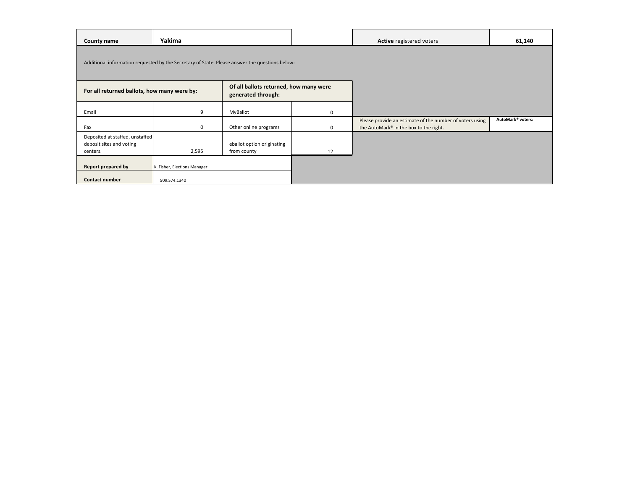| County name                                                             | Yakima                       |                                                                                                |             | Active registered voters                                                                           | 61,140                        |
|-------------------------------------------------------------------------|------------------------------|------------------------------------------------------------------------------------------------|-------------|----------------------------------------------------------------------------------------------------|-------------------------------|
|                                                                         |                              | Additional information requested by the Secretary of State. Please answer the questions below: |             |                                                                                                    |                               |
| For all returned ballots, how many were by:                             |                              | Of all ballots returned, how many were<br>generated through:                                   |             |                                                                                                    |                               |
| Email                                                                   | 9                            | MyBallot                                                                                       | $\mathbf 0$ |                                                                                                    |                               |
| Fax                                                                     | 0                            | Other online programs                                                                          | 0           | Please provide an estimate of the number of voters using<br>the AutoMark® in the box to the right. | AutoMark <sup>®</sup> voters: |
| Deposited at staffed, unstaffed<br>deposit sites and voting<br>centers. | 2,595                        | eballot option originating<br>from county                                                      | 12          |                                                                                                    |                               |
| Report prepared by                                                      | K. Fisher, Elections Manager |                                                                                                |             |                                                                                                    |                               |
| Contact number                                                          | 509.574.1340                 |                                                                                                |             |                                                                                                    |                               |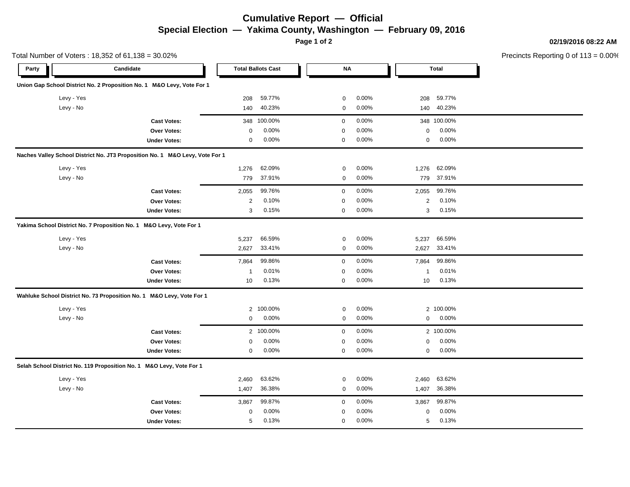## **Cumulative Report — Official Special Election — Yakima County, Washington — February 09, 2016**

**Page 1 of 2**

**02/19/2016 08:22 AM**

Precincts Reporting 0 of 113 = 0.00%

|            | Total Number of Voters: 18,352 of 61,138 = 30.02%                            |                |                           |             |       |                |              | Precincts Reporting 0 of 1 |
|------------|------------------------------------------------------------------------------|----------------|---------------------------|-------------|-------|----------------|--------------|----------------------------|
| Party      | Candidate                                                                    |                | <b>Total Ballots Cast</b> | $\sf NA$    |       |                | <b>Total</b> |                            |
|            | Union Gap School District No. 2 Proposition No. 1 M&O Levy, Vote For 1       |                |                           |             |       |                |              |                            |
| Levy - Yes |                                                                              | 208            | 59.77%                    | $\mathbf 0$ | 0.00% | 208            | 59.77%       |                            |
| Levy - No  |                                                                              | 140            | 40.23%                    | $\mathbf 0$ | 0.00% | 140            | 40.23%       |                            |
|            | <b>Cast Votes:</b>                                                           | 348            | 100.00%                   | $\mathbf 0$ | 0.00% |                | 348 100.00%  |                            |
|            | Over Votes:                                                                  | $\mathbf 0$    | 0.00%                     | $\mathbf 0$ | 0.00% | $\mathbf 0$    | 0.00%        |                            |
|            | <b>Under Votes:</b>                                                          | $\mathbf 0$    | 0.00%                     | $\pmb{0}$   | 0.00% | $\mathbf 0$    | 0.00%        |                            |
|            | Naches Valley School District No. JT3 Proposition No. 1 M&O Levy, Vote For 1 |                |                           |             |       |                |              |                            |
| Levy - Yes |                                                                              | 1,276          | 62.09%                    | $\mathbf 0$ | 0.00% | 1,276          | 62.09%       |                            |
| Levy - No  |                                                                              | 779            | 37.91%                    | $\mathbf 0$ | 0.00% | 779            | 37.91%       |                            |
|            | <b>Cast Votes:</b>                                                           | 2,055          | 99.76%                    | 0           | 0.00% | 2,055          | 99.76%       |                            |
|            | Over Votes:                                                                  | $\overline{2}$ | 0.10%                     | $\mathbf 0$ | 0.00% | $\overline{c}$ | 0.10%        |                            |
|            | <b>Under Votes:</b>                                                          | 3              | 0.15%                     | $\mathbf 0$ | 0.00% | 3              | 0.15%        |                            |
|            | Yakima School District No. 7 Proposition No. 1 M&O Levy, Vote For 1          |                |                           |             |       |                |              |                            |
| Levy - Yes |                                                                              | 5,237          | 66.59%                    | 0           | 0.00% | 5,237          | 66.59%       |                            |
| Levy - No  |                                                                              | 2,627          | 33.41%                    | 0           | 0.00% | 2,627          | 33.41%       |                            |
|            | <b>Cast Votes:</b>                                                           | 7,864          | 99.86%                    | $\mathbf 0$ | 0.00% | 7,864          | 99.86%       |                            |
|            | Over Votes:                                                                  | $\mathbf{1}$   | 0.01%                     | $\pmb{0}$   | 0.00% | $\mathbf 1$    | 0.01%        |                            |
|            | <b>Under Votes:</b>                                                          | 10             | 0.13%                     | 0           | 0.00% | 10             | 0.13%        |                            |
|            | Wahluke School District No. 73 Proposition No. 1 M&O Levy, Vote For 1        |                |                           |             |       |                |              |                            |
| Levy - Yes |                                                                              | 2              | 100.00%                   | $\mathbf 0$ | 0.00% |                | 2 100.00%    |                            |
| Levy - No  |                                                                              | $\mathbf 0$    | 0.00%                     | $\mathbf 0$ | 0.00% | 0              | 0.00%        |                            |
|            | <b>Cast Votes:</b>                                                           |                | 2 100.00%                 | $\mathbf 0$ | 0.00% |                | 2 100.00%    |                            |
|            | Over Votes:                                                                  | $\mathbf 0$    | 0.00%                     | $\pmb{0}$   | 0.00% | $\pmb{0}$      | 0.00%        |                            |
|            | <b>Under Votes:</b>                                                          | $\mathbf 0$    | 0.00%                     | 0           | 0.00% | 0              | 0.00%        |                            |
|            | Selah School District No. 119 Proposition No. 1 M&O Levy, Vote For 1         |                |                           |             |       |                |              |                            |
| Levy - Yes |                                                                              | 2,460          | 63.62%                    | $\mathbf 0$ | 0.00% | 2,460          | 63.62%       |                            |
| Levy - No  |                                                                              | 1,407          | 36.38%                    | $\mathbf 0$ | 0.00% | 1,407          | 36.38%       |                            |
|            | <b>Cast Votes:</b>                                                           | 3,867          | 99.87%                    | $\mathbf 0$ | 0.00% | 3,867          | 99.87%       |                            |
|            | Over Votes:                                                                  | $\pmb{0}$      | 0.00%                     | 0           | 0.00% | $\mathbf 0$    | $0.00\%$     |                            |
|            | <b>Under Votes:</b>                                                          | 5              | 0.13%                     | $\mathbf 0$ | 0.00% | 5              | 0.13%        |                            |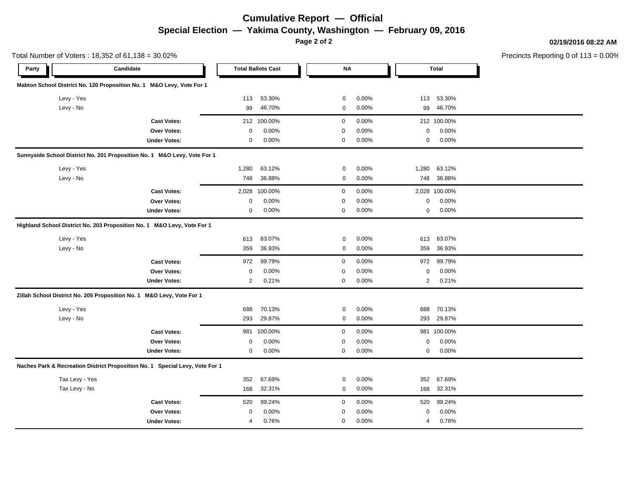# **Cumulative Report — Official Special Election — Yakima County, Washington — February 09, 2016**

**Page 2 of 2**

#### **02/19/2016 08:22 AM**

Precincts Reporting 0 of 113 = 0.00%

|                | Total Number of Voters: 18,352 of 61,138 = 30.02%                            |             |                           |             |       |                |               | Precincts Reporting 0 of 1 |
|----------------|------------------------------------------------------------------------------|-------------|---------------------------|-------------|-------|----------------|---------------|----------------------------|
| Party          | Candidate                                                                    |             | <b>Total Ballots Cast</b> | <b>NA</b>   |       |                | Total         |                            |
|                | Mabton School District No. 120 Proposition No. 1 M&O Levy, Vote For 1        |             |                           |             |       |                |               |                            |
| Levy - Yes     |                                                                              | 113         | 53.30%                    | 0           | 0.00% |                | 113 53.30%    |                            |
| Levy - No      |                                                                              | 99          | 46.70%                    | $\mathbf 0$ | 0.00% | 99             | 46.70%        |                            |
|                | <b>Cast Votes:</b>                                                           |             | 212 100.00%               | 0           | 0.00% |                | 212 100.00%   |                            |
|                | Over Votes:                                                                  | $\mathbf 0$ | 0.00%                     | 0           | 0.00% | 0              | 0.00%         |                            |
|                | <b>Under Votes:</b>                                                          | $\mathbf 0$ | 0.00%                     | 0           | 0.00% | 0              | 0.00%         |                            |
|                | Sunnyside School District No. 201 Proposition No. 1 M&O Levy, Vote For 1     |             |                           |             |       |                |               |                            |
| Levy - Yes     |                                                                              | 1,280       | 63.12%                    | $\mathbf 0$ | 0.00% | 1,280          | 63.12%        |                            |
| Levy - No      |                                                                              | 748         | 36.88%                    | 0           | 0.00% | 748            | 36.88%        |                            |
|                | <b>Cast Votes:</b>                                                           | 2,028       | 100.00%                   | 0           | 0.00% |                | 2,028 100.00% |                            |
|                | Over Votes:                                                                  | $\mathbf 0$ | 0.00%                     | 0           | 0.00% | 0              | 0.00%         |                            |
|                | <b>Under Votes:</b>                                                          | $\mathbf 0$ | 0.00%                     | 0           | 0.00% | 0              | $0.00\%$      |                            |
|                | Highland School District No. 203 Proposition No. 1 M&O Levy, Vote For 1      |             |                           |             |       |                |               |                            |
| Levy - Yes     |                                                                              | 613         | 63.07%                    | 0           | 0.00% | 613            | 63.07%        |                            |
| Levy - No      |                                                                              | 359         | 36.93%                    | 0           | 0.00% | 359            | 36.93%        |                            |
|                | <b>Cast Votes:</b>                                                           | 972         | 99.79%                    | $\mathbf 0$ | 0.00% | 972            | 99.79%        |                            |
|                | Over Votes:                                                                  | $\mathsf 0$ | 0.00%                     | 0           | 0.00% | 0              | 0.00%         |                            |
|                | <b>Under Votes:</b>                                                          | 2           | 0.21%                     | 0           | 0.00% | $\overline{2}$ | 0.21%         |                            |
|                | Zillah School District No. 205 Proposition No. 1 M&O Levy, Vote For 1        |             |                           |             |       |                |               |                            |
| Levy - Yes     |                                                                              | 688         | 70.13%                    | $\mathbf 0$ | 0.00% | 688            | 70.13%        |                            |
| Levy - No      |                                                                              | 293         | 29.87%                    | $\mathbf 0$ | 0.00% | 293            | 29.87%        |                            |
|                | <b>Cast Votes:</b>                                                           |             | 981 100.00%               | $\mathbf 0$ | 0.00% |                | 981 100.00%   |                            |
|                | Over Votes:                                                                  | 0           | 0.00%                     | 0           | 0.00% | 0              | 0.00%         |                            |
|                | <b>Under Votes:</b>                                                          | 0           | 0.00%                     | 0           | 0.00% | 0              | 0.00%         |                            |
|                | Naches Park & Recreation District Proposition No. 1 Special Levy, Vote For 1 |             |                           |             |       |                |               |                            |
| Tax Levy - Yes |                                                                              | 352         | 67.69%                    | $\mathbf 0$ | 0.00% | 352            | 67.69%        |                            |
| Tax Levy - No  |                                                                              | 168         | 32.31%                    | $\mathsf 0$ | 0.00% | 168            | 32.31%        |                            |
|                | <b>Cast Votes:</b>                                                           | 520         | 99.24%                    | 0           | 0.00% | 520            | 99.24%        |                            |
|                | Over Votes:                                                                  | $\mathbf 0$ | 0.00%                     | 0           | 0.00% | 0              | 0.00%         |                            |
|                | <b>Under Votes:</b>                                                          | 4           | 0.76%                     | 0           | 0.00% | 4              | 0.76%         |                            |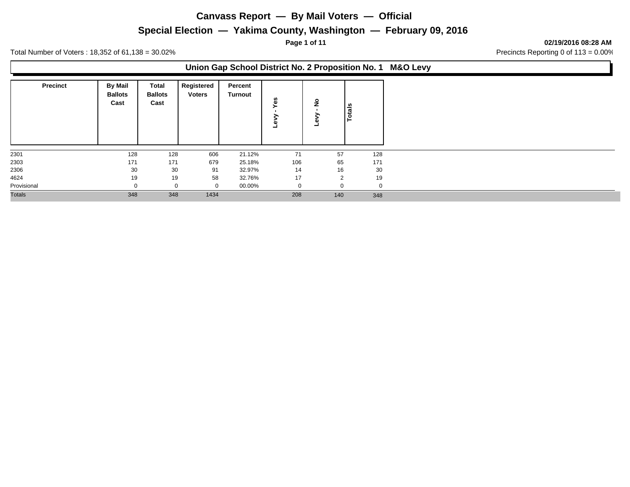### **Special Election — Yakima County, Washington — February 09, 2016**

**Page 1 of 11 02/19/2016 08:28 AM**

Total Number of Voters: 18,352 of 61,138 = 30.02% Contract 2000 Precincts Reporting 0 of 113 = 0.00%

### **Union Gap School District No. 2 Proposition No. 1 M&O Levy**

| <b>Precinct</b> | <b>By Mail</b><br><b>Ballots</b><br>Cast | Total<br><b>Ballots</b><br>Cast | Registered<br><b>Voters</b> | Percent<br>Turnout | မိ<br>ω | <u>۽</u> | Totals |
|-----------------|------------------------------------------|---------------------------------|-----------------------------|--------------------|---------|----------|--------|
| 2301            | 128                                      | 128                             | 606                         | 21.12%             | 71      | 57       | 128    |
| 2303            | 171                                      | 171                             | 679                         | 25.18%             | 106     | 65       | 171    |
| 2306            | 30                                       | 30                              | 91                          | 32.97%             | 14      | 16       | 30     |
| 4624            | 19                                       | 19                              | 58                          | 32.76%             | 17      | 2        | 19     |
| Provisional     |                                          | $\Omega$                        | $\mathbf 0$                 | 00.00%             |         |          |        |
| <b>Totals</b>   | 348                                      | 348                             | 1434                        |                    | 208     | 140      | 348    |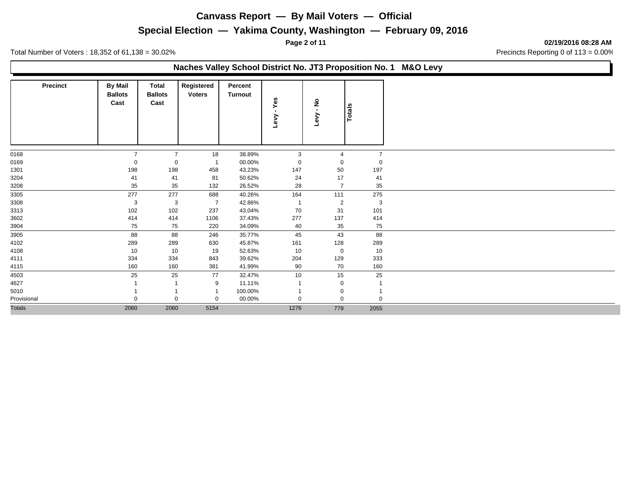### **Special Election — Yakima County, Washington — February 09, 2016**

**Page 2 of 11 02/19/2016 08:28 AM**

Total Number of Voters: 18,352 of 61,138 = 30.02% Contract 2000 Precincts Reporting 0 of 113 = 0.00%

### **Naches Valley School District No. JT3 Proposition No. 1 M&O Levy**

| <b>Precinct</b> | <b>By Mail</b><br><b>Ballots</b><br>Cast | Total<br><b>Ballots</b><br>Cast | Registered<br><b>Voters</b> | Percent<br>Turnout | Yes<br>$\blacksquare$<br>Levy | $\frac{1}{2}$<br>$\blacksquare$<br>Levy | Totals         |
|-----------------|------------------------------------------|---------------------------------|-----------------------------|--------------------|-------------------------------|-----------------------------------------|----------------|
| 0168            | $\overline{7}$                           | $\overline{7}$                  | 18                          | 38.89%             | 3                             | $\overline{4}$                          | $\overline{7}$ |
| 0169            | 0                                        | $\mathbf 0$                     |                             | 00.00%             | 0                             | 0                                       | $\mathbf 0$    |
| 1301            | 198                                      | 198                             | 458                         | 43.23%             | 147                           | 50                                      | 197            |
| 3204            | 41                                       | 41                              | 81                          | 50.62%             | 24                            | 17                                      | 41             |
| 3208            | 35                                       | 35                              | 132                         | 26.52%             | 28                            | $\overline{7}$                          | 35             |
| 3305            | 277                                      | 277                             | 688                         | 40.26%             | 164                           | 111                                     | 275            |
| 3308            | 3                                        | 3                               | $\overline{7}$              | 42.86%             | $\overline{1}$                | $\overline{2}$                          | 3              |
| 3313            | 102                                      | 102                             | 237                         | 43.04%             | 70                            | 31                                      | 101            |
| 3602            | 414                                      | 414                             | 1106                        | 37.43%             | 277                           | 137                                     | 414            |
| 3904            | 75                                       | 75                              | 220                         | 34.09%             | 40                            | 35                                      | 75             |
| 3905            | 88                                       | 88                              | 246                         | 35.77%             | 45                            | 43                                      | 88             |
| 4102            | 289                                      | 289                             | 630                         | 45.87%             | 161                           | 128                                     | 289            |
| 4108            | 10                                       | 10                              | 19                          | 52.63%             | 10                            | $\mathbf{0}$                            | 10             |
| 4111            | 334                                      | 334                             | 843                         | 39.62%             | 204                           | 129                                     | 333            |
| 4115            | 160                                      | 160                             | 381                         | 41.99%             | 90                            | 70                                      | 160            |
| 4503            | 25                                       | 25                              | 77                          | 32.47%             | 10                            | 15                                      | 25             |
| 4627            |                                          |                                 | 9                           | 11.11%             |                               | $\mathbf 0$                             |                |
| 5010            |                                          |                                 |                             | 100.00%            |                               | $\mathbf 0$                             |                |
| Provisional     | $\mathbf 0$                              | $\Omega$                        | $\mathbf 0$                 | 00.00%             | $\mathbf 0$                   | $\mathbf 0$                             | $\mathbf 0$    |
| <b>Totals</b>   | 2060                                     | 2060                            | 5154                        |                    | 1276                          | 779                                     | 2055           |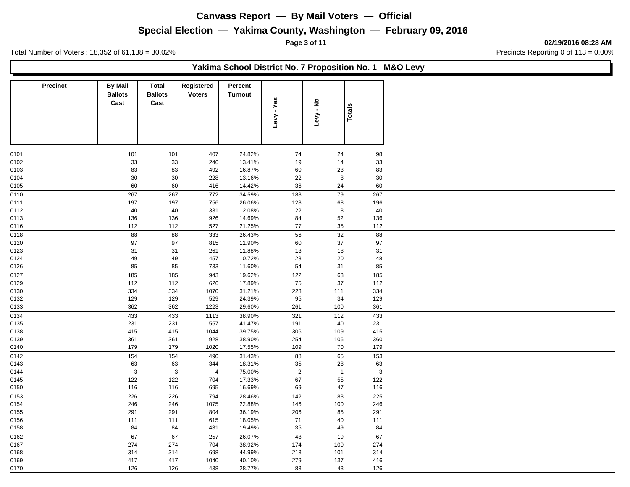### **Special Election — Yakima County, Washington — February 09, 2016**

**Page 3 of 11 02/19/2016 08:28 AM**

Total Number of Voters : 18,352 of 61,138 = 30.02% 2011 30 and 3000 and 3000 and 3000 and 3000 and 3000 and 3000 and 3000 and 3000 and 3000 and 3000 and 3000 and 3000 and 3000 and 3000 and 3000 and 3000 and 3000 and 3000 a

|                 |                                          |                                        |                             | Yakima School District No. 7 Proposition No. 1 M&O Levy |                |                |               |
|-----------------|------------------------------------------|----------------------------------------|-----------------------------|---------------------------------------------------------|----------------|----------------|---------------|
| <b>Precinct</b> | <b>By Mail</b><br><b>Ballots</b><br>Cast | <b>Total</b><br><b>Ballots</b><br>Cast | Registered<br><b>Voters</b> | Percent<br>Turnout                                      | Levy - Yes     | Levy - No      | <b>Totals</b> |
| 0101            | 101                                      | 101                                    | 407                         | 24.82%                                                  | 74             | 24             | 98            |
| 0102            | 33                                       | 33                                     | 246                         | 13.41%                                                  | 19             | 14             | 33            |
| 0103            | 83                                       | 83                                     | 492                         | 16.87%                                                  | 60             | 23             | 83            |
| 0104            | 30                                       | 30                                     | 228                         | 13.16%                                                  | 22             | 8              | 30            |
| 0105            | 60                                       | 60                                     | 416                         | 14.42%                                                  | 36             | 24             | 60            |
| 0110            | 267                                      | 267                                    | 772                         | 34.59%                                                  | 188            | 79             | 267           |
| 0111            | 197                                      | 197                                    | 756                         | 26.06%                                                  | 128            | 68             | 196           |
| 0112            | 40                                       | 40                                     | 331                         | 12.08%                                                  | 22             | 18             | 40            |
| 0113            | 136                                      | 136                                    | 926                         | 14.69%                                                  | 84             | 52             | 136           |
| 0116            | 112                                      | 112                                    | 527                         | 21.25%                                                  | 77             | 35             | 112           |
| 0118            | 88                                       | 88                                     | 333                         | 26.43%                                                  | 56             | 32             | 88            |
|                 | 97                                       | 97                                     |                             |                                                         |                | 37             |               |
| 0120<br>0123    | 31                                       | 31                                     | 815<br>261                  | 11.90%<br>11.88%                                        | 60<br>13       | 18             | $97\,$<br>31  |
| 0124            | 49                                       | 49                                     | 457                         | 10.72%                                                  | 28             | 20             | 48            |
| 0126            | 85                                       | 85                                     | 733                         | 11.60%                                                  | 54             | 31             | 85            |
|                 |                                          |                                        |                             |                                                         |                |                |               |
| 0127<br>0129    | 185<br>112                               | 185<br>112                             | 943<br>626                  | 19.62%<br>17.89%                                        | 122<br>75      | 63<br>37       | 185<br>112    |
|                 |                                          |                                        |                             |                                                         |                |                |               |
| 0130<br>0132    | 334<br>129                               | 334<br>129                             | 1070<br>529                 | 31.21%<br>24.39%                                        | 223<br>95      | 111<br>34      | 334<br>129    |
| 0133            | 362                                      | 362                                    | 1223                        | 29.60%                                                  | 261            | 100            | 361           |
|                 |                                          |                                        |                             |                                                         |                |                |               |
| 0134            | 433                                      | 433                                    | 1113                        | 38.90%                                                  | 321            | 112            | 433           |
| 0135            | 231                                      | 231                                    | 557                         | 41.47%                                                  | 191            | 40             | 231           |
| 0138            | 415                                      | 415                                    | 1044                        | 39.75%                                                  | 306            | 109            | 415           |
| 0139            | 361                                      | 361                                    | 928                         | 38.90%                                                  | 254            | 106            | 360           |
| 0140            | 179                                      | 179                                    | 1020                        | 17.55%                                                  | 109            | 70             | 179           |
| 0142            | 154                                      | 154                                    | 490                         | 31.43%                                                  | 88             | 65             | 153           |
| 0143            | 63                                       | 63                                     | 344                         | 18.31%                                                  | 35             | 28             | 63            |
| 0144            | 3                                        | 3                                      | $\overline{4}$              | 75.00%                                                  | $\overline{2}$ | $\overline{1}$ | $\mathbf{3}$  |
| 0145            | 122                                      | 122                                    | 704                         | 17.33%                                                  | 67             | 55             | 122           |
| 0150            | 116                                      | 116                                    | 695                         | 16.69%                                                  | 69             | 47             | 116           |
| 0153            | 226                                      | 226                                    | 794                         | 28.46%                                                  | 142            | 83             | 225           |
| 0154            | 246                                      | 246                                    | 1075                        | 22.88%                                                  | 146            | 100            | 246           |
| 0155            | 291                                      | 291                                    | 804                         | 36.19%                                                  | 206            | 85             | 291           |
| 0156            | 111                                      | 111                                    | 615                         | 18.05%                                                  | 71             | 40             | 111           |
| 0158            | 84                                       | 84                                     | 431                         | 19.49%                                                  | 35             | 49             | 84            |
| 0162            | 67                                       | 67                                     | 257                         | 26.07%                                                  | 48             | 19             | 67            |
| 0167            | 274                                      | 274                                    | 704                         | 38.92%                                                  | 174            | 100            | 274           |
| 0168            | 314                                      | 314                                    | 698                         | 44.99%                                                  | 213            | 101            | 314           |
| 0169            | 417                                      | 417                                    | 1040                        | 40.10%                                                  | 279            | 137            | 416           |
| 0170            | 126                                      | 126                                    | 438                         | 28.77%                                                  | 83             | 43             | 126           |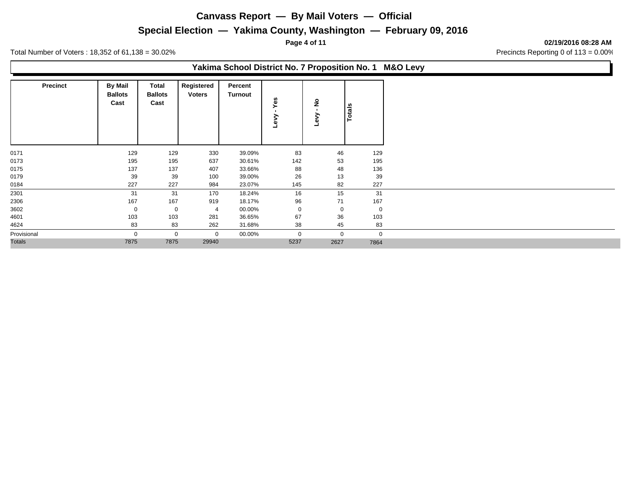### **Special Election — Yakima County, Washington — February 09, 2016**

**Page 4 of 11 02/19/2016 08:28 AM**

Total Number of Voters : 18,352 of 61,138 = 30.02% 2011 30 and 3000 and 3000 and 3000 and 3000 and 3000 and 3000 and 3000 and 3000 and 3000 and 3000 and 3000 and 3000 and 3000 and 3000 and 3000 and 3000 and 3000 and 3000 a

### **Yakima School District No. 7 Proposition No. 1 M&O Levy**

| <b>Precinct</b> | <b>By Mail</b><br><b>Ballots</b><br>Cast | Total<br><b>Ballots</b><br>Cast | Registered<br><b>Voters</b> | Percent<br><b>Turnout</b> | Yes<br>≩<br>۵ | $\frac{1}{2}$ | Totals      |
|-----------------|------------------------------------------|---------------------------------|-----------------------------|---------------------------|---------------|---------------|-------------|
| 0171            | 129                                      | 129                             | 330                         | 39.09%                    | 83            | 46            | 129         |
| 0173            | 195                                      | 195                             | 637                         | 30.61%                    | 142           | 53            | 195         |
| 0175            | 137                                      | 137                             | 407                         | 33.66%                    | 88            | 48            | 136         |
| 0179            | 39                                       | 39                              | 100                         | 39.00%                    | 26            | 13            | 39          |
| 0184            | 227                                      | 227                             | 984                         | 23.07%                    | 145           | 82            | 227         |
| 2301            | 31                                       | 31                              | 170                         | 18.24%                    | 16            | 15            | 31          |
| 2306            | 167                                      | 167                             | 919                         | 18.17%                    | 96            | 71            | 167         |
| 3602            | $\mathbf 0$                              | $\mathbf 0$                     | 4                           | 00.00%                    | 0             | $\mathbf 0$   | $\mathbf 0$ |
| 4601            | 103                                      | 103                             | 281                         | 36.65%                    | 67            | 36            | 103         |
| 4624            | 83                                       | 83                              | 262                         | 31.68%                    | 38            | 45            | 83          |
| Provisional     | $\Omega$                                 | $\mathbf 0$                     | 0                           | 00.00%                    | $\mathbf{0}$  | $\mathbf{0}$  | $\mathbf 0$ |
| <b>Totals</b>   | 7875                                     | 7875                            | 29940                       |                           | 5237          | 2627          | 7864        |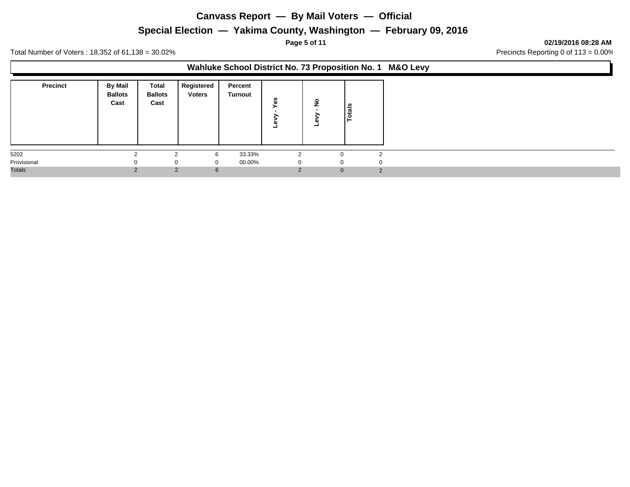### **Special Election — Yakima County, Washington — February 09, 2016**

**Page 5 of 11 02/19/2016 08:28 AM**

Total Number of Voters : 18,352 of 61,138 = 30.02% 2011 30 and 3000 and 3000 and 3000 and 3000 and 3000 and 3000 and 3000 and 3000 and 3000 and 3000 and 3000 and 3000 and 3000 and 3000 and 3000 and 3000 and 3000 and 3000 a

### **Wahluke School District No. 73 Proposition No. 1 M&O Levy**

| <b>Precinct</b> | By Mail<br><b>Ballots</b><br>Cast | Total<br><b>Ballots</b><br>Cast | Registered<br><b>Voters</b> | Percent<br>Turnout | n<br>C.<br>œ  | $\circ$<br>- | otals         |
|-----------------|-----------------------------------|---------------------------------|-----------------------------|--------------------|---------------|--------------|---------------|
| 5202            | $\sim$                            | $\sim$                          | 6                           | 33.33%             | $\mathcal{D}$ | U            | $\sim$        |
| Provisional     |                                   | $\Omega$                        | $\Omega$                    | 00.00%             |               | U            |               |
| <b>Totals</b>   | $\mathcal{P}$                     |                                 | 2<br>$6\overline{6}$        |                    |               |              | 2<br>$\Omega$ |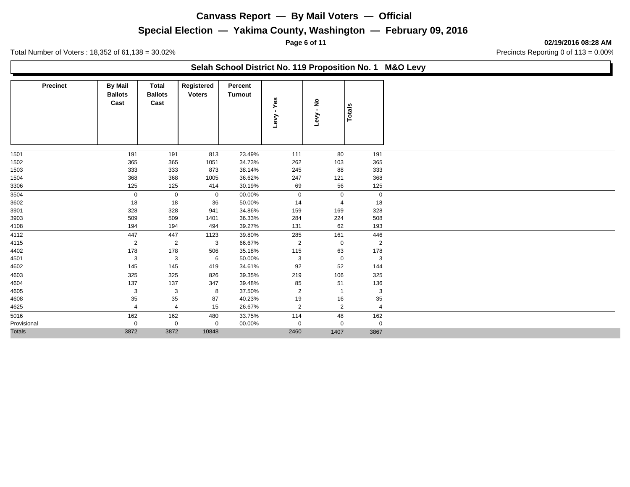### **Special Election — Yakima County, Washington — February 09, 2016**

**Page 6 of 11 02/19/2016 08:28 AM**

Total Number of Voters : 18,352 of 61,138 = 30.02% 2011 30 and 3000 and 3000 and 3000 and 3000 and 3000 and 3000 and 3000 and 3000 and 3000 and 3000 and 3000 and 3000 and 3000 and 3000 and 3000 and 3000 and 3000 and 3000 a

### **Selah School District No. 119 Proposition No. 1 M&O Levy**

| <b>Precinct</b> | <b>By Mail</b><br><b>Ballots</b><br>Cast | <b>Total</b><br><b>Ballots</b><br>Cast | Registered<br><b>Voters</b> | Percent<br>Turnout | - Yes<br>Levy  | ៓<br>វិ<br>Levy | Totals         |
|-----------------|------------------------------------------|----------------------------------------|-----------------------------|--------------------|----------------|-----------------|----------------|
| 1501            | 191                                      | 191                                    | 813                         | 23.49%             | 111            | 80              | 191            |
| 1502            | 365                                      | 365                                    | 1051                        | 34.73%             | 262            | 103             | 365            |
| 1503            | 333                                      | 333                                    | 873                         | 38.14%             | 245            | 88              | 333            |
| 1504            | 368                                      | 368                                    | 1005                        | 36.62%             | 247            | 121             | 368            |
| 3306            | 125                                      | 125                                    | 414                         | 30.19%             | 69             | 56              | 125            |
| 3504            | $\mathbf 0$                              | $\mathbf 0$                            | $\mathbf 0$                 | 00.00%             | $\mathbf 0$    | $\mathbf 0$     | $\mathbf 0$    |
| 3602            | 18                                       | 18                                     | 36                          | 50.00%             | 14             | $\overline{4}$  | 18             |
| 3901            | 328                                      | 328                                    | 941                         | 34.86%             | 159            | 169             | 328            |
| 3903            | 509                                      | 509                                    | 1401                        | 36.33%             | 284            | 224             | 508            |
| 4108            | 194                                      | 194                                    | 494                         | 39.27%             | 131            | 62              | 193            |
| 4112            | 447                                      | 447                                    | 1123                        | 39.80%             | 285            | 161             | 446            |
| 4115            | $\overline{2}$                           | $\overline{2}$                         | 3                           | 66.67%             | $\overline{2}$ | $\mathbf 0$     | $\overline{2}$ |
| 4402            | 178                                      | 178                                    | 506                         | 35.18%             | 115            | 63              | 178            |
| 4501            | 3                                        | 3                                      | 6                           | 50.00%             | 3              | $\mathbf 0$     | 3              |
| 4602            | 145                                      | 145                                    | 419                         | 34.61%             | 92             | 52              | 144            |
| 4603            | 325                                      | 325                                    | 826                         | 39.35%             | 219            | 106             | 325            |
| 4604            | 137                                      | 137                                    | 347                         | 39.48%             | 85             | 51              | 136            |
| 4605            | 3                                        | 3                                      | 8                           | 37.50%             | $\overline{2}$ | $\overline{1}$  | 3              |
| 4608            | 35                                       | 35                                     | 87                          | 40.23%             | 19             | 16              | 35             |
| 4625            | $\overline{4}$                           | $\overline{4}$                         | 15                          | 26.67%             | $\overline{2}$ | 2               | $\overline{4}$ |
| 5016            | 162                                      | 162                                    | 480                         | 33.75%             | 114            | 48              | 162            |
| Provisional     | 0                                        | $\mathbf 0$                            | $\mathbf 0$                 | 00.00%             | $\mathbf 0$    | $\mathbf 0$     | $\mathbf 0$    |
| <b>Totals</b>   | 3872                                     | 3872                                   | 10848                       |                    | 2460           | 1407            | 3867           |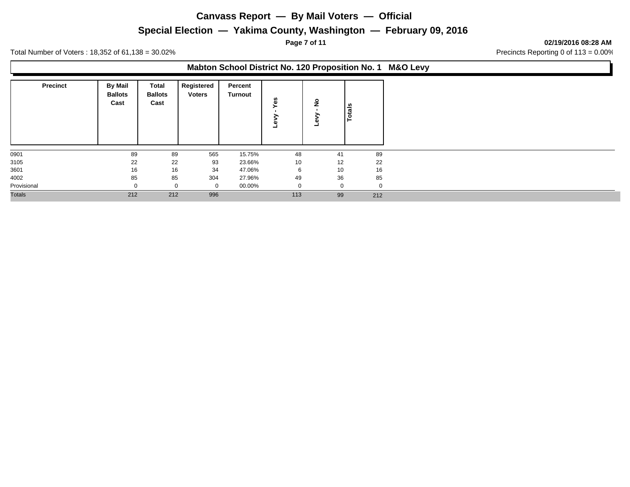### **Special Election — Yakima County, Washington — February 09, 2016**

**Page 7 of 11 02/19/2016 08:28 AM**

Total Number of Voters : 18,352 of 61,138 = 30.02% 2011 30 and 3000 and 3000 and 3000 and 3000 and 3000 and 3000 and 3000 and 3000 and 3000 and 3000 and 3000 and 3000 and 3000 and 3000 and 3000 and 3000 and 3000 and 3000 a

#### **Mabton School District No. 120 Proposition No. 1 M&O Levy**

| <b>Precinct</b> | <b>By Mail</b><br><b>Ballots</b><br>Cast | Total<br><b>Ballots</b><br>Cast | Registered<br><b>Voters</b> | Percent<br>Turnout | w<br>ω | ۽  | otals |
|-----------------|------------------------------------------|---------------------------------|-----------------------------|--------------------|--------|----|-------|
| 0901            | 89                                       | 89                              | 565                         | 15.75%             | 48     | 41 | 89    |
| 3105            | 22                                       | 22                              | 93                          | 23.66%             | 10     | 12 | 22    |
| 3601            | 16                                       | 16                              | 34                          | 47.06%             | 6      | 10 | 16    |
| 4002            | 85                                       | 85                              | 304                         | 27.96%             | 49     | 36 | 85    |
| Provisional     |                                          | $\Omega$                        | 0                           | 00.00%             |        |    | 0     |
| <b>Totals</b>   | 212                                      | 212                             | 996                         |                    | 113    | 99 | 212   |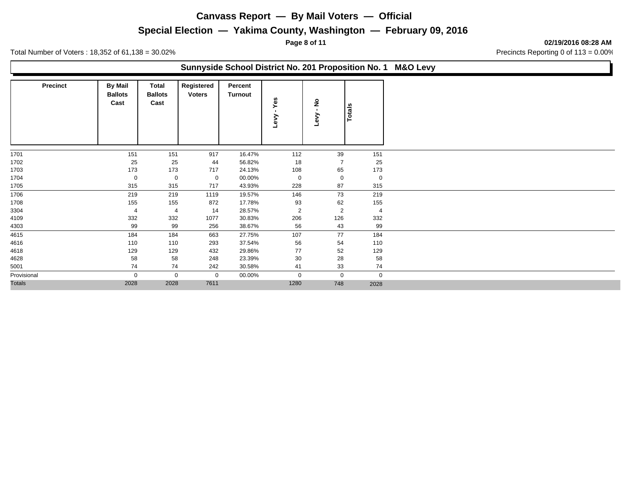### **Special Election — Yakima County, Washington — February 09, 2016**

**Page 8 of 11 02/19/2016 08:28 AM**

Total Number of Voters: 18,352 of 61,138 = 30.02% Contract 2000 Precincts Reporting 0 of 113 = 0.00%

### **Sunnyside School District No. 201 Proposition No. 1 M&O Levy**

| <b>Precinct</b> | <b>By Mail</b><br><b>Ballots</b><br>Cast | Total<br><b>Ballots</b><br>Cast | Registered<br><b>Voters</b> | Percent<br>Turnout | Yes<br>$\blacksquare$<br>Геv | $\epsilon$<br>Levy | Totals         |
|-----------------|------------------------------------------|---------------------------------|-----------------------------|--------------------|------------------------------|--------------------|----------------|
| 1701            | 151                                      | 151                             | 917                         | 16.47%             | 112                          | 39                 | 151            |
| 1702            | 25                                       | 25                              | 44                          | 56.82%             | 18                           | $\overline{7}$     | 25             |
| 1703            | 173                                      | 173                             | 717                         | 24.13%             | 108                          | 65                 | 173            |
| 1704            | 0                                        | 0                               | $\mathbf 0$                 | 00.00%             | 0                            | $\mathbf 0$        | $\mathbf 0$    |
| 1705            | 315                                      | 315                             | 717                         | 43.93%             | 228                          | 87                 | 315            |
| 1706            | 219                                      | 219                             | 1119                        | 19.57%             | 146                          | 73                 | 219            |
| 1708            | 155                                      | 155                             | 872                         | 17.78%             | 93                           | 62                 | 155            |
| 3304            | 4                                        | $\overline{4}$                  | 14                          | 28.57%             | $\overline{2}$               | $\overline{2}$     | $\overline{4}$ |
| 4109            | 332                                      | 332                             | 1077                        | 30.83%             | 206                          | 126                | 332            |
| 4303            | 99                                       | 99                              | 256                         | 38.67%             | 56                           | 43                 | 99             |
| 4615            | 184                                      | 184                             | 663                         | 27.75%             | 107                          | 77                 | 184            |
| 4616            | 110                                      | 110                             | 293                         | 37.54%             | 56                           | 54                 | 110            |
| 4618            | 129                                      | 129                             | 432                         | 29.86%             | 77                           | 52                 | 129            |
| 4628            | 58                                       | 58                              | 248                         | 23.39%             | 30                           | 28                 | 58             |
| 5001            | 74                                       | 74                              | 242                         | 30.58%             | 41                           | 33                 | 74             |
| Provisional     | 0                                        | $\mathbf{0}$                    | $\mathbf 0$                 | 00.00%             | $\mathbf 0$                  | $\mathbf 0$        | $\mathbf 0$    |
| <b>Totals</b>   | 2028                                     | 2028                            | 7611                        |                    | 1280                         | 748                | 2028           |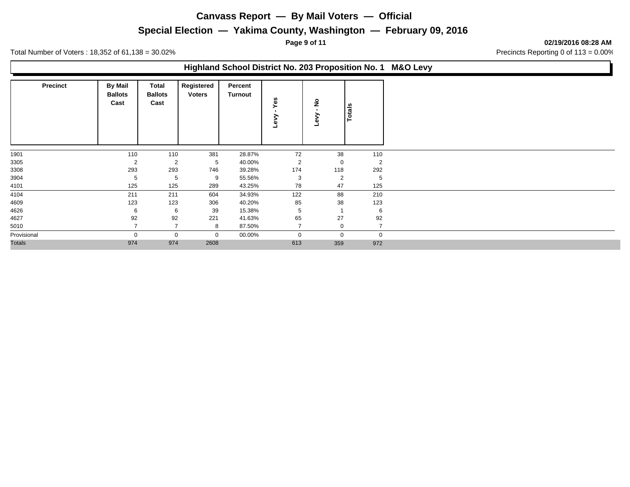## **Special Election — Yakima County, Washington — February 09, 2016**

**Page 9 of 11 02/19/2016 08:28 AM**

Total Number of Voters: 18,352 of 61,138 = 30.02% Contract 2000 Precincts Reporting 0 of 113 = 0.00%

#### **Highland School District No. 203 Proposition No. 1 M&O Levy**

| <b>Precinct</b> | <b>By Mail</b><br><b>Ballots</b><br>Cast | Total<br><b>Ballots</b><br>Cast | Registered<br><b>Voters</b> | Percent<br>Turnout | Yes<br>Γeν     | $\frac{1}{2}$  | Totals         |
|-----------------|------------------------------------------|---------------------------------|-----------------------------|--------------------|----------------|----------------|----------------|
|                 |                                          |                                 |                             |                    |                |                |                |
| 1901            | 110                                      | 110                             | 381                         | 28.87%             | 72             | 38             | 110            |
| 3305            | 2                                        | $\overline{2}$                  | 5                           | 40.00%             | $\overline{2}$ | 0              | $\overline{2}$ |
| 3308            | 293                                      | 293                             | 746                         | 39.28%             | 174            | 118            | 292            |
| 3904            | 5                                        | 5                               | 9                           | 55.56%             | 3              | $\overline{2}$ | 5              |
| 4101            | 125                                      | 125                             | 289                         | 43.25%             | 78             | 47             | 125            |
| 4104            | 211                                      | 211                             | 604                         | 34.93%             | 122            | 88             | 210            |
| 4609            | 123                                      | 123                             | 306                         | 40.20%             | 85             | 38             | 123            |
| 4626            | 6                                        | 6                               | 39                          | 15.38%             | 5              |                | 6              |
| 4627            | 92                                       | 92                              | 221                         | 41.63%             | 65             | 27             | 92             |
| 5010            |                                          |                                 | 8                           | 87.50%             | $\overline{ }$ | $\mathbf 0$    |                |
| Provisional     | $\Omega$                                 | $\mathbf 0$                     | $\mathbf 0$                 | 00.00%             | $\mathbf 0$    | $\mathbf{0}$   | $\mathbf 0$    |
| <b>Totals</b>   | 974                                      | 974                             | 2608                        |                    | 613            | 359            | 972            |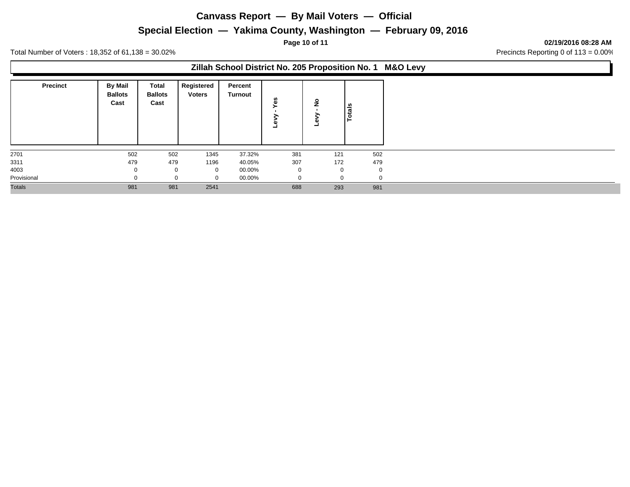## **Special Election — Yakima County, Washington — February 09, 2016**

**Page 10 of 11 02/19/2016 08:28 AM**

Total Number of Voters: 18,352 of 61,138 = 30.02% Contract 2000 Precincts Reporting 0 of 113 = 0.00%

### **Zillah School District No. 205 Proposition No. 1 M&O Levy**

| <b>Precinct</b> | <b>By Mail</b><br><b>Ballots</b><br>Cast | Total<br><b>Ballots</b><br>Cast | Registered<br><b>Voters</b> | Percent<br><b>Turnout</b> | n<br>ω       | ے           | otals       |
|-----------------|------------------------------------------|---------------------------------|-----------------------------|---------------------------|--------------|-------------|-------------|
| 2701            | 502                                      | 502                             | 1345                        | 37.32%                    | 381          | 121         | 502         |
| 3311            | 479                                      | 479                             | 1196                        | 40.05%                    | 307          | 172         | 479         |
| 4003            |                                          | $\mathbf 0$                     | 0                           | 00.00%                    | $\mathbf{0}$ | $\mathbf 0$ | $\mathbf 0$ |
| Provisional     |                                          |                                 | $\Omega$                    | 00.00%                    | $\Omega$     | $\Omega$    | $\Omega$    |
| <b>Totals</b>   | 981                                      | 981                             | 2541                        |                           | 688          | 293         | 981         |